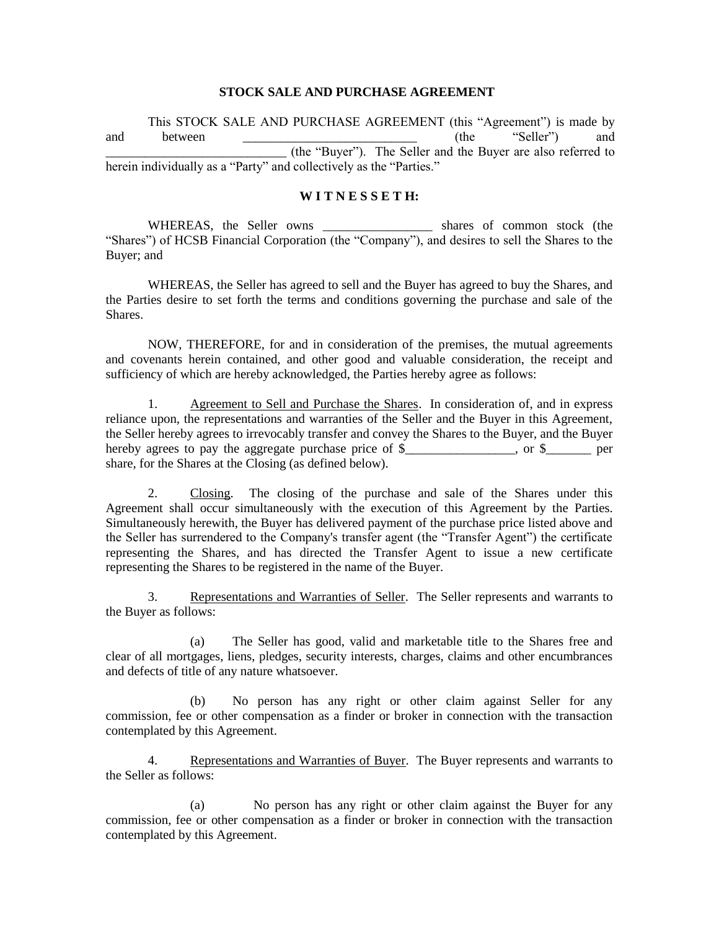## **STOCK SALE AND PURCHASE AGREEMENT**

This STOCK SALE AND PURCHASE AGREEMENT (this "Agreement") is made by and between <u>\_\_\_\_\_\_\_\_\_\_\_\_\_\_\_\_\_\_\_\_\_\_\_\_\_\_\_\_\_\_\_</u> (the "Seller") and \_\_\_\_\_\_\_\_\_\_\_\_\_\_\_\_\_\_\_\_\_\_\_\_\_\_\_\_ (the "Buyer"). The Seller and the Buyer are also referred to herein individually as a "Party" and collectively as the "Parties."

## **W I T N E S S E T H:**

WHEREAS, the Seller owns \_\_\_\_\_\_\_\_\_\_\_\_\_\_\_\_\_ shares of common stock (the "Shares") of HCSB Financial Corporation (the "Company"), and desires to sell the Shares to the Buyer; and

WHEREAS, the Seller has agreed to sell and the Buyer has agreed to buy the Shares, and the Parties desire to set forth the terms and conditions governing the purchase and sale of the **Shares** 

NOW, THEREFORE, for and in consideration of the premises, the mutual agreements and covenants herein contained, and other good and valuable consideration, the receipt and sufficiency of which are hereby acknowledged, the Parties hereby agree as follows:

1. Agreement to Sell and Purchase the Shares. In consideration of, and in express reliance upon, the representations and warranties of the Seller and the Buyer in this Agreement, the Seller hereby agrees to irrevocably transfer and convey the Shares to the Buyer, and the Buyer hereby agrees to pay the aggregate purchase price of  $\frac{1}{2}$  , or  $\frac{1}{2}$  per share, for the Shares at the Closing (as defined below).

2. Closing. The closing of the purchase and sale of the Shares under this Agreement shall occur simultaneously with the execution of this Agreement by the Parties. Simultaneously herewith, the Buyer has delivered payment of the purchase price listed above and the Seller has surrendered to the Company's transfer agent (the "Transfer Agent") the certificate representing the Shares, and has directed the Transfer Agent to issue a new certificate representing the Shares to be registered in the name of the Buyer.

3. Representations and Warranties of Seller. The Seller represents and warrants to the Buyer as follows:

(a) The Seller has good, valid and marketable title to the Shares free and clear of all mortgages, liens, pledges, security interests, charges, claims and other encumbrances and defects of title of any nature whatsoever.

(b) No person has any right or other claim against Seller for any commission, fee or other compensation as a finder or broker in connection with the transaction contemplated by this Agreement.

4. Representations and Warranties of Buyer. The Buyer represents and warrants to the Seller as follows:

(a) No person has any right or other claim against the Buyer for any commission, fee or other compensation as a finder or broker in connection with the transaction contemplated by this Agreement.